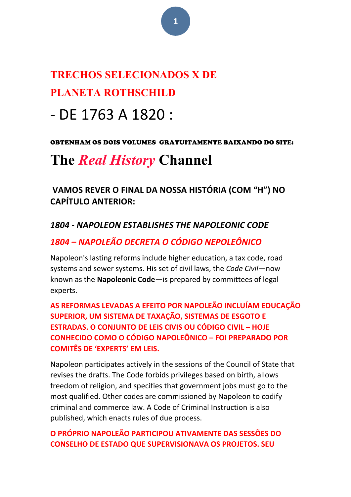# **TRECHOS SELECIONADOS X DE PLANETA ROTHSCHILD**

# - DE 1763 A 1820 :

#### OBTENHAM OS DOIS VOLUMES GRATUITAMENTE BAIXANDO DO SITE:

# **The** *Real History* **Channel**

**VAMOS REVER O FINAL DA NOSSA HISTÓRIA (COM "H") NO CAPÍTULO ANTERIOR:**

# *1804 - NAPOLEON ESTABLISHES THE NAPOLEONIC CODE*

# *1804 – NAPOLEÃO DECRETA O CÓDIGO NEPOLEÔNICO*

Napoleon's lasting reforms include higher education, a tax code, road systems and sewer systems. His set of civil laws, the *Code Civil*—now known as the **Napoleonic Code**—is prepared by committees of legal experts. 

AS REFORMAS LEVADAS A EFEITO POR NAPOLEÃO INCLUÍAM EDUCAÇÃO **SUPERIOR, UM SISTEMA DE TAXAÇÃO, SISTEMAS DE ESGOTO E ESTRADAS. O CONJUNTO DE LEIS CIVIS OU CÓDIGO CIVIL – HOJE CONHECIDO COMO O CÓDIGO NAPOLEÔNICO – FOI PREPARADO POR COMITÊS DE 'EXPERTS' EM LEIS.**

Napoleon participates actively in the sessions of the Council of State that revises the drafts. The Code forbids privileges based on birth, allows freedom of religion, and specifies that government jobs must go to the most qualified. Other codes are commissioned by Napoleon to codify criminal and commerce law. A Code of Criminal Instruction is also published, which enacts rules of due process.

## **O PRÓPRIO NAPOLEÃO PARTICIPOU ATIVAMENTE DAS SESSÕES DO CONSELHO DE ESTADO QUE SUPERVISIONAVA OS PROJETOS. SEU**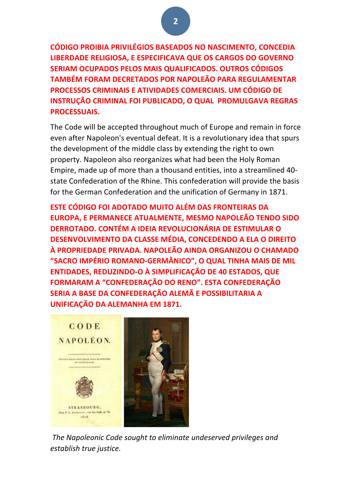**CÓDIGO PROIBIA PRIVILÉGIOS BASEADOS NO NASCIMENTO, CONCEDIA LIBERDADE RELIGIOSA, E ESPECIFICAVA QUE OS CARGOS DO GOVERNO SERIAM OCUPADOS PELOS MAIS QUALIFICADOS. OUTROS CÓDIGOS TAMBÉM FORAM DECRETADOS POR NAPOLEÃO PARA REGULAMENTAR PROCESSOS CRIMINAIS E ATIVIDADES COMERCIAIS. UM CÓDIGO DE INSTRUÇÃO CRIMINAL FOI PUBLICADO, O QUAL PROMULGAVA REGRAS PROCESSUAIS.**

The Code will be accepted throughout much of Europe and remain in force even after Napoleon's eventual defeat. It is a revolutionary idea that spurs the development of the middle class by extending the right to own property. Napoleon also reorganizes what had been the Holy Roman Empire, made up of more than a thousand entities, into a streamlined 40state Confederation of the Rhine. This confederation will provide the basis for the German Confederation and the unification of Germany in 1871.

**ESTE CÓDIGO FOI ADOTADO MUITO ALÉM DAS FRONTEIRAS DA EUROPA, E PERMANECE ATUALMENTE, MESMO NAPOLEÃO TENDO SIDO DERROTADO. CONTÉM A IDEIA REVOLUCIONÁRIA DE ESTIMULAR O DESENVOLVIMENTO DA CLASSE MÉDIA, CONCEDENDO A ELA O DIREITO À PROPRIEDADE PRIVADA. NAPOLEÃO AINDA ORGANIZOU O CHAMADO "SACRO IMPÉRIO ROMANO-GERMÂNICO", O QUAL TINHA MAIS DE MIL ENTIDADES, REDUZINDO-O À SIMPLIFICAÇÃO DE 40 ESTADOS, QUE FORMARAM A "CONFEDERAÇÃO DO RENO". ESTA CONFEDERAÇÃO** SERIA A BASE DA CONFEDERAÇÃO ALEMÃ E POSSIBILITARIA A **UNIFICAÇÃO DA ALEMANHA EM 1871.**



The Napoleonic Code sought to eliminate undeserved privileges and *establish true justice.*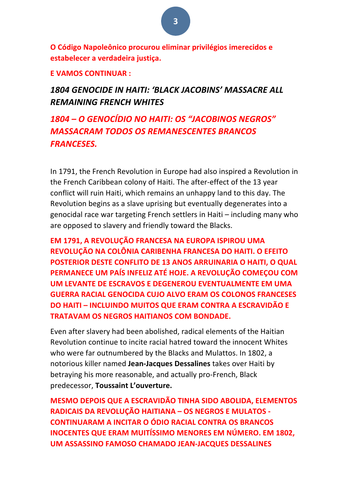**O Código Napoleônico procurou eliminar privilégios imerecidos e estabelecer a verdadeira justiça.**

**E VAMOS CONTINUAR :** 

*1804 GENOCIDE IN HAITI: 'BLACK JACOBINS' MASSACRE ALL REMAINING FRENCH WHITES*

*1804 – O GENOCÍDIO NO HAITI: OS "JACOBINOS NEGROS"*  **MASSACRAM TODOS OS REMANESCENTES BRANCOS** *FRANCESES.*

In 1791, the French Revolution in Europe had also inspired a Revolution in the French Caribbean colony of Haiti. The after-effect of the 13 year conflict will ruin Haiti, which remains an unhappy land to this day. The Revolution begins as a slave uprising but eventually degenerates into a genocidal race war targeting French settlers in Haiti  $-$  including many who are opposed to slavery and friendly toward the Blacks.

**EM 1791, A REVOLUÇÃO FRANCESA NA EUROPA ISPIROU UMA REVOLUÇÃO NA COLÔNIA CARIBENHA FRANCESA DO HAITI. O EFEITO POSTERIOR DESTE CONFLITO DE 13 ANOS ARRUINARIA O HAITI, O QUAL PERMANECE UM PAÍS INFELIZ ATÉ HOJE. A REVOLUÇÃO COMEÇOU COM UM LEVANTE DE ESCRAVOS E DEGENEROU EVENTUALMENTE EM UMA GUERRA RACIAL GENOCIDA CUJO ALVO ERAM OS COLONOS FRANCESES DO HAITI – INCLUINDO MUITOS QUE ERAM CONTRA A ESCRAVIDÃO E TRATAVAM OS NEGROS HAITIANOS COM BONDADE.** 

Even after slavery had been abolished, radical elements of the Haitian Revolution continue to incite racial hatred toward the innocent Whites who were far outnumbered by the Blacks and Mulattos. In 1802, a notorious killer named Jean-Jacques Dessalines takes over Haiti by betraying his more reasonable, and actually pro-French, Black predecessor, **Toussaint L'ouverture.**

**MESMO DEPOIS QUE A ESCRAVIDÃO TINHA SIDO ABOLIDA, ELEMENTOS RADICAIS DA REVOLUÇÃO HAITIANA - OS NEGROS E MULATOS -CONTINUARAM A INCITAR O ÓDIO RACIAL CONTRA OS BRANCOS INOCENTES QUE ERAM MUITÍSSIMO MENORES EM NÚMERO. EM 1802. UM ASSASSINO FAMOSO CHAMADO JEAN-JACQUES DESSALINES**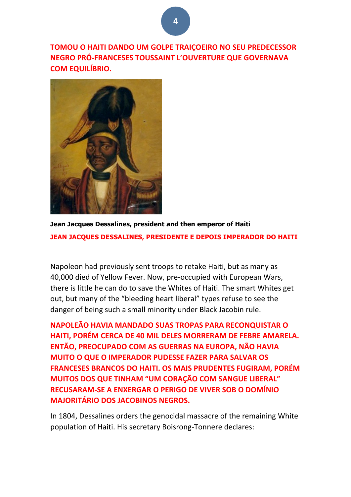**TOMOU O HAITI DANDO UM GOLPE TRAIÇOEIRO NO SEU PREDECESSOR NEGRO PRÓ-FRANCESES TOUSSAINT L'OUVERTURE QUE GOVERNAVA COM EQUILÍBRIO.**



**Jean Jacques Dessalines, president and then emperor of Haiti JEAN JACQUES DESSALINES, PRESIDENTE E DEPOIS IMPERADOR DO HAITI**

Napoleon had previously sent troops to retake Haiti, but as many as 40,000 died of Yellow Fever. Now, pre-occupied with European Wars, there is little he can do to save the Whites of Haiti. The smart Whites get out, but many of the "bleeding heart liberal" types refuse to see the danger of being such a small minority under Black Jacobin rule.

**NAPOLEÃO HAVIA MANDADO SUAS TROPAS PARA RECONQUISTAR O HAITI, PORÉM CERCA DE 40 MIL DELES MORRERAM DE FEBRE AMARELA. ENTÃO, PREOCUPADO COM AS GUERRAS NA EUROPA, NÃO HAVIA MUITO O QUE O IMPERADOR PUDESSE FAZER PARA SALVAR OS FRANCESES BRANCOS DO HAITI. OS MAIS PRUDENTES FUGIRAM, PORÉM MUITOS DOS QUE TINHAM "UM CORAÇÃO COM SANGUE LIBERAL" RECUSARAM-SE A ENXERGAR O PERIGO DE VIVER SOB O DOMÍNIO MAJORITÁRIO DOS JACOBINOS NEGROS.** 

In 1804, Dessalines orders the genocidal massacre of the remaining White population of Haiti. His secretary Boisrong-Tonnere declares: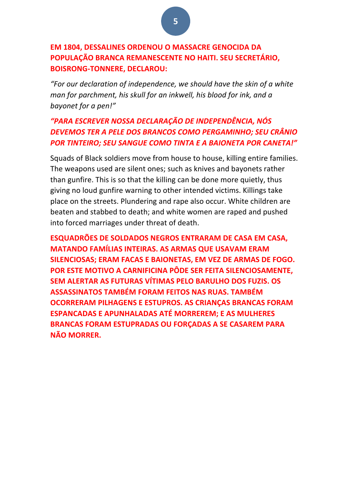#### **EM 1804, DESSALINES ORDENOU O MASSACRE GENOCIDA DA POPULAÇÃO BRANCA REMANESCENTE NO HAITI. SEU SECRETÁRIO, BOISRONG-TONNERE, DECLAROU:**

*"For our declaration of independence, we should have the skin of a white man for parchment, his skull for an inkwell, his blood for ink, and a* bayonet for a pen!"

## *"PARA ESCREVER NOSSA DECLARAÇÃO DE INDEPENDÊNCIA, NÓS DEVEMOS TER A PELE DOS BRANCOS COMO PERGAMINHO; SEU CRÂNIO*  **POR TINTEIRO; SEU SANGUE COMO TINTA E A BAIONETA POR CANETA!"**

Squads of Black soldiers move from house to house, killing entire families. The weapons used are silent ones; such as knives and bayonets rather than gunfire. This is so that the killing can be done more quietly, thus giving no loud gunfire warning to other intended victims. Killings take place on the streets. Plundering and rape also occur. White children are beaten and stabbed to death; and white women are raped and pushed into forced marriages under threat of death.

**ESQUADRÕES DE SOLDADOS NEGROS ENTRARAM DE CASA EM CASA, MATANDO FAMÍLIAS INTEIRAS. AS ARMAS QUE USAVAM ERAM SILENCIOSAS; ERAM FACAS E BAIONETAS, EM VEZ DE ARMAS DE FOGO. POR ESTE MOTIVO A CARNIFICINA PÔDE SER FEITA SILENCIOSAMENTE, SEM ALERTAR AS FUTURAS VÍTIMAS PELO BARULHO DOS FUZIS. OS ASSASSINATOS TAMBÉM FORAM FEITOS NAS RUAS. TAMBÉM OCORRERAM PILHAGENS E ESTUPROS. AS CRIANCAS BRANCAS FORAM ESPANCADAS E APUNHALADAS ATÉ MORREREM; E AS MULHERES BRANCAS FORAM ESTUPRADAS OU FORÇADAS A SE CASAREM PARA NÃO MORRER.**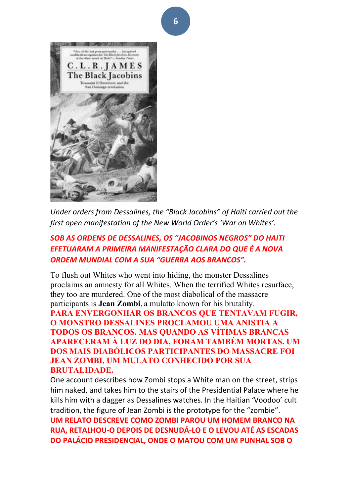

Under orders from Dessalines, the "Black Jacobins" of Haiti carried out the first open manifestation of the New World Order's 'War on Whites'.

#### **SOB AS ORDENS DE DESSALINES, OS "JACOBINOS NEGROS" DO HAITI** *EFETUARAM A PRIMEIRA MANIFESTAÇÃO CLARA DO QUE É A NOVA*  **ORDEM MUNDIAL COM A SUA "GUERRA AOS BRANCOS".**

To flush out Whites who went into hiding, the monster Dessalines proclaims an amnesty for all Whites. When the terrified Whites resurface, they too are murdered. One of the most diabolical of the massacre participants is **Jean Zombi**, a mulatto known for his brutality. **PARA ENVERGONHAR OS BRANCOS QUE TENTAVAM FUGIR, O MONSTRO DESSALINES PROCLAMOU UMA ANISTIA A TODOS OS BRANCOS. MAS QUANDO AS VÍTIMAS BRANCAS APARECERAM À LUZ DO DIA, FORAM TAMBÉM MORTAS. UM DOS MAIS DIABÓLICOS PARTICIPANTES DO MASSACRE FOI JEAN ZOMBI, UM MULATO CONHECIDO POR SUA BRUTALIDADE.**

One account describes how Zombi stops a White man on the street, strips him naked, and takes him to the stairs of the Presidential Palace where he kills him with a dagger as Dessalines watches. In the Haitian 'Voodoo' cult tradition, the figure of Jean Zombi is the prototype for the "zombie". **UM RELATO DESCREVE COMO ZOMBI PAROU UM HOMEM BRANCO NA RUA, RETALHOU-O DEPOIS DE DESNUDÁ-LO E O LEVOU ATÉ AS ESCADAS DO PALÁCIO PRESIDENCIAL, ONDE O MATOU COM UM PUNHAL SOB O**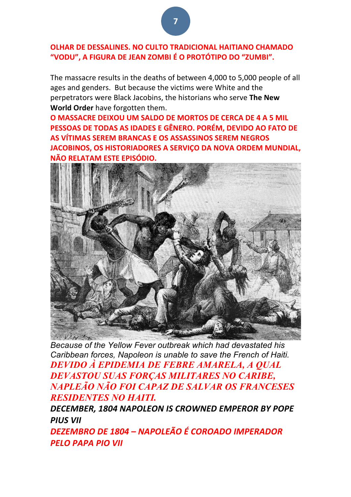#### **OLHAR DE DESSALINES. NO CULTO TRADICIONAL HAITIANO CHAMADO "VODU", A FIGURA DE JEAN ZOMBI É O PROTÓTIPO DO "ZUMBI".**

The massacre results in the deaths of between 4,000 to 5,000 people of all ages and genders. But because the victims were White and the perpetrators were Black Jacobins, the historians who serve The New **World Order** have forgotten them.

**O MASSACRE DEIXOU UM SALDO DE MORTOS DE CERCA DE 4 A 5 MIL PESSOAS DE TODAS AS IDADES E GÊNERO. PORÉM, DEVIDO AO FATO DE AS VÍTIMAS SEREM BRANCAS E OS ASSASSINOS SEREM NEGROS JACOBINOS, OS HISTORIADORES A SERVIÇO DA NOVA ORDEM MUNDIAL, NÃO RELATAM ESTE EPISÓDIO.** 



*Because of the Yellow Fever outbreak which had devastated his Caribbean forces, Napoleon is unable to save the French of Haiti. DEVIDO À EPIDEMIA DE FEBRE AMARELA, A QUAL DEVASTOU SUAS FORÇAS MILITARES NO CARIBE, NAPLEÃO NÃO FOI CAPAZ DE SALVAR OS FRANCESES RESIDENTES NO HAITI.*

DECEMBER, 1804 NAPOLEON IS CROWNED EMPEROR BY POPE *PIUS VII*

*DEZEMBRO DE 1804 – NAPOLEÃO É COROADO IMPERADOR PELO PAPA PIO VII*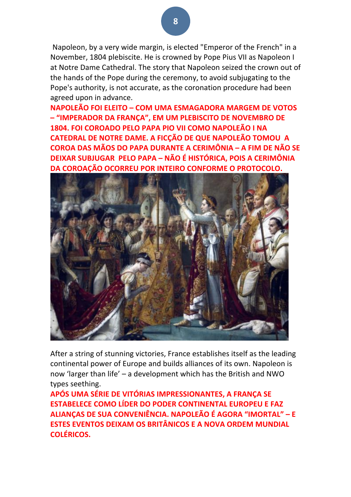Napoleon, by a very wide margin, is elected "Emperor of the French" in a November, 1804 plebiscite. He is crowned by Pope Pius VII as Napoleon I at Notre Dame Cathedral. The story that Napoleon seized the crown out of the hands of the Pope during the ceremony, to avoid subjugating to the Pope's authority, is not accurate, as the coronation procedure had been agreed upon in advance.

**NAPOLEÃO FOI FLEITO – COM UMA ESMAGADORA MARGEM DE VOTOS – "IMPERADOR DA FRANÇA", EM UM PLEBISCITO DE NOVEMBRO DE 1804. FOI COROADO PELO PAPA PIO VII COMO NAPOLEÃO I NA CATEDRAL DE NOTRE DAME. A FICÇÃO DE QUE NAPOLEÃO TOMOU A COROA DAS MÃOS DO PAPA DURANTE A CERIMÔNIA – A FIM DE NÃO SE DEIXAR SUBJUGAR PELO PAPA – NÃO É HISTÓRICA, POIS A CERIMÔNIA DA COROAÇÃO OCORREU POR INTEIRO CONFORME O PROTOCOLO.**



After a string of stunning victories, France establishes itself as the leading continental power of Europe and builds alliances of its own. Napoleon is now 'larger than life' – a development which has the British and NWO types seething.

**APÓS UMA SÉRIE DE VITÓRIAS IMPRESSIONANTES, A FRANÇA SE ESTABELECE COMO LÍDER DO PODER CONTINENTAL EUROPEU E FAZ ALIANÇAS DE SUA CONVENIÊNCIA. NAPOLEÃO É AGORA "IMORTAL" – E ESTES EVENTOS DEIXAM OS BRITÂNICOS E A NOVA ORDEM MUNDIAL COLÉRICOS.**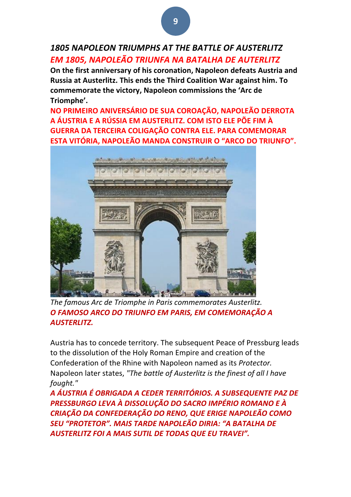## *1805 NAPOLEON TRIUMPHS AT THE BATTLE OF AUSTERLITZ EM 1805, NAPOLEÃO TRIUNFA NA BATALHA DE AUTERLITZ*

On the first anniversary of his coronation, Napoleon defeats Austria and **Russia at Austerlitz. This ends the Third Coalition War against him. To** commemorate the victory, Napoleon commissions the 'Arc de **Triomphe'.**

**NO PRIMEIRO ANIVERSÁRIO DE SUA COROAÇÃO, NAPOLEÃO DERROTA A ÁUSTRIA E A RÚSSIA EM AUSTERLITZ. COM ISTO ELE PÕE FIM À GUERRA DA TERCEIRA COLIGAÇÃO CONTRA ELE. PARA COMEMORAR ESTA VITÓRIA, NAPOLEÃO MANDA CONSTRUIR O "ARCO DO TRIUNFO".** 



The famous Arc de Triomphe in Paris commemorates Austerlitz. *O FAMOSO ARCO DO TRIUNFO EM PARIS, EM COMEMORAÇÃO A AUSTERLITZ.*

Austria has to concede territory. The subsequent Peace of Pressburg leads to the dissolution of the Holy Roman Empire and creation of the Confederation of the Rhine with Napoleon named as its *Protector*. Napoleon later states, "The battle of Austerlitz is the finest of all I have *fought."*

*A ÁUSTRIA É OBRIGADA A CEDER TERRITÓRIOS. A SUBSEQUENTE PAZ DE PRESSBURGO LEVA À DISSOLUÇÃO DO SACRO IMPÉRIO ROMANO E À*  **CRIAÇÃO DA CONFEDERAÇÃO DO RENO, QUE ERIGE NAPOLEÃO COMO** *SEU "PROTETOR". MAIS TARDE NAPOLEÃO DIRIA: "A BATALHA DE*  AUSTERLITZ FOI A MAIS SUTIL DE TODAS QUE EU TRAVEI".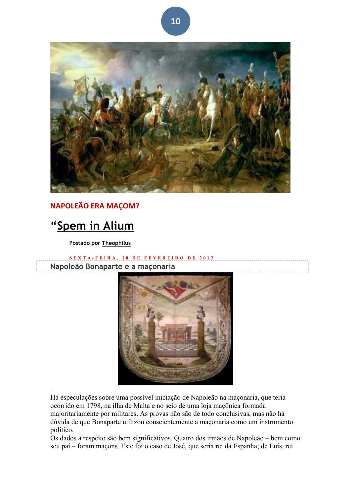

### **NAPOLEÃO ERA MAÇOM?**

# **"Spem in Alium**

.

**Postado por Theophilus**

**SEXTA - FEIRA, 10 DE FEVEREI RO DE 2012 Napoleão Bonaparte e a maçonaria**



Há especulações sobre uma possível iniciação de Napoleão na maçonaria, que teria ocorrido em 1798, na ilha de Malta e no seio de uma loja maçônica formada majoritariamente por militares. As provas não são de todo conclusivas, mas não há dúvida de que Bonaparte utilizou conscientemente a maçonaria como um instrumento político.

Os dados a respeito são bem significativos. Quatro dos irmãos de Napoleão – bem como seu pai – foram maçons. Este foi o caso de José, que seria rei da Espanha; de Luís, rei